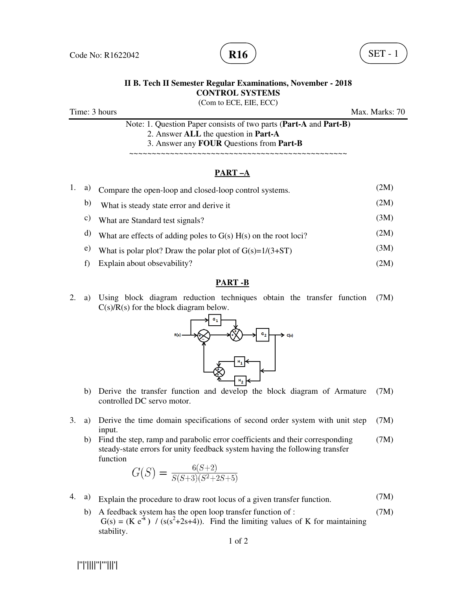

## **II B. Tech II Semester Regular Examinations, November - 2018 CONTROL SYSTEMS**

(Com to ECE, EIE, ECC)

Time: 3 hours Max. Marks: 70

Note: 1. Question Paper consists of two parts (**Part-A** and **Part-B)** 2. Answer **ALL** the question in **Part-A** 3. Answer any **FOUR** Questions from **Part-B**

~~~~~~~~~~~~~~~~~~~~~~~~~~~~~~~~~~~~~~~~~~~~~~~~

## **PART –A**

| 1. a) | Compare the open-loop and closed-loop control systems.            | (2M) |
|-------|-------------------------------------------------------------------|------|
| b)    | What is steady state error and derive it                          | (2M) |
| C)    | What are Standard test signals?                                   | (3M) |
| d)    | What are effects of adding poles to $G(s) H(s)$ on the root loci? | (2M) |
| e)    | What is polar plot? Draw the polar plot of $G(s)=1/(3+ST)$        | (3M) |
|       | Explain about obsevability?                                       | (2M) |

## **PART -B**

2. a) Using block diagram reduction techniques obtain the transfer function  $C(s)/R(s)$  for the block diagram below. (7M)



- b) Derive the transfer function and develop the block diagram of Armature controlled DC servo motor. (7M)
- 3. a) Derive the time domain specifications of second order system with unit step input. (7M)
	- b) Find the step, ramp and parabolic error coefficients and their corresponding steady-state errors for unity feedback system having the following transfer function (7M)

$$
G(S) = \frac{6(S+2)}{S(S+3)(S^2+2S+5)}
$$

- 4. a) Explain the procedure to draw root locus of a given transfer function. (7M)
	- b) A feedback system has the open loop transfer function of :  $G(s) = (K e<sup>-s</sup>)$  /  $(s(s<sup>2</sup>+2s+4))$ . Find the limiting values of K for maintaining stability. (7M)

|''|'||||''|'''|||'|